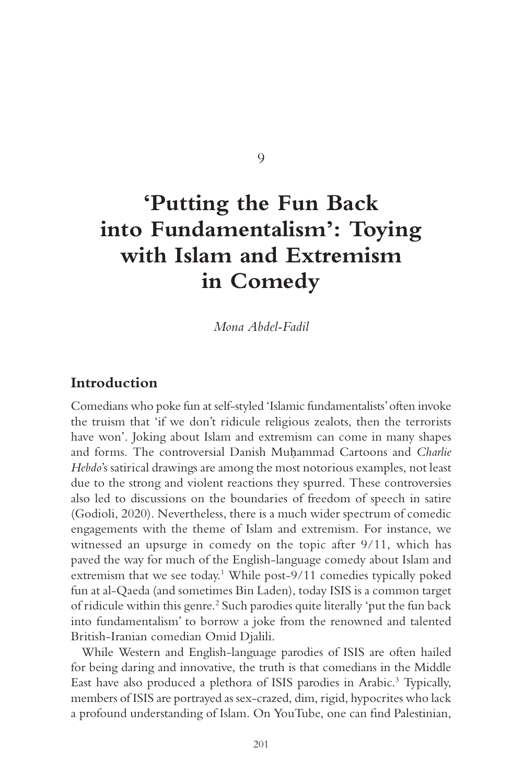9

# **'Putting the Fun Back into Fundamentalism': Toying with Islam and Extremism in Comedy**

*Mona Abdel- Fadil* 

#### **Introduction**

Comedians who poke fun at self-styled 'Islamic fundamentalists' often invoke the truism that 'if we don't ridicule religious zealots, then the terrorists have won'. Joking about Islam and extremism can come in many shapes and forms. The controversial Danish Muhammad Cartoons and *Charlie Hebdo*'s satirical drawings are among the most notorious examples, not least due to the strong and violent reactions they spurred. These controversies also led to discussions on the boundaries of freedom of speech in satire (Godioli, 2020). Nevertheless, there is a much wider spectrum of comedic engagements with the theme of Islam and extremism. For instance, we witnessed an upsurge in comedy on the topic after  $9/11$ , which has paved the way for much of the English-language comedy about Islam and extremism that we see today.<sup>1</sup> While post-9/11 comedies typically poked fun at al- Qaeda (and sometimes Bin Laden), today ISIS is a common target of ridicule within this genre.<sup>2</sup> Such parodies quite literally 'put the fun back into fundamentalism' to borrow a joke from the renowned and talented British- Iranian comedian Omid Djalili.

While Western and English-language parodies of ISIS are often hailed for being daring and innovative, the truth is that comedians in the Middle East have also produced a plethora of ISIS parodies in Arabic.<sup>3</sup> Typically, members of ISIS are portrayed as sex- crazed, dim, rigid, hypocrites who lack a profound understanding of Islam. On YouTube, one can find Palestinian,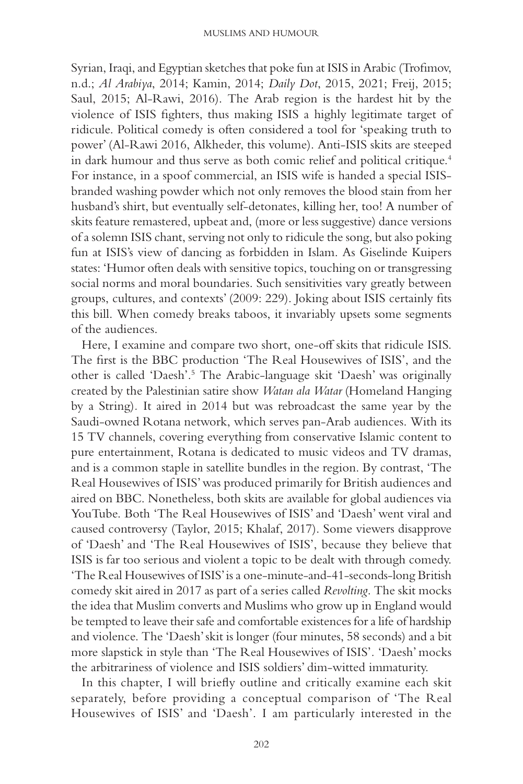Syrian, Iraqi, and Egyptian sketches that poke fun at ISIS in Arabic (Trofimov, n.d.; *Al Arabiya*, 2014; Kamin, 2014; *Daily Dot*, 2015, 2021; Freij, 2015; Saul, 2015; Al-Rawi, 2016). The Arab region is the hardest hit by the violence of ISIS fighters, thus making ISIS a highly legitimate target of ridicule. Political comedy is often considered a tool for 'speaking truth to power' (Al-Rawi 2016, Alkheder, this volume). Anti-ISIS skits are steeped in dark humour and thus serve as both comic relief and political critique. 4 For instance, in a spoof commercial, an ISIS wife is handed a special ISISbranded washing powder which not only removes the blood stain from her husband's shirt, but eventually self- detonates, killing her, too! A number of skits feature remastered, upbeat and, (more or less suggestive) dance versions of a solemn ISIS chant, serving not only to ridicule the song, but also poking fun at ISIS's view of dancing as forbidden in Islam. As Giselinde Kuipers states: 'Humor often deals with sensitive topics, touching on or transgressing social norms and moral boundaries. Such sensitivities vary greatly between groups, cultures, and contexts' (2009: 229). Joking about ISIS certainly fits this bill. When comedy breaks taboos, it invariably upsets some segments of the audiences.

Here, I examine and compare two short, one-off skits that ridicule ISIS. The first is the BBC production 'The Real Housewives of ISIS', and the other is called 'Daesh'.<sup>5</sup> The Arabic-language skit 'Daesh' was originally created by the Palestinian satire show *Watan ala Watar* (Homeland Hanging by a String)*.* It aired in 2014 but was rebroadcast the same year by the Saudi- owned Rotana network, which serves pan- Arab audiences. With its 15 TV channels, covering everything from conservative Islamic content to pure entertainment, Rotana is dedicated to music videos and TV dramas, and is a common staple in satellite bundles in the region. By contrast, 'The Real Housewives of ISIS' was produced primarily for British audiences and aired on BBC. Nonetheless, both skits are available for global audiences via YouTube. Both 'The Real Housewives of ISIS' and 'Daesh' went viral and caused controversy (Taylor, 2015; Khalaf, 2017). Some viewers disapprove of 'Daesh' and 'The Real Housewives of ISIS', because they believe that ISIS is far too serious and violent a topic to be dealt with through comedy. 'The Real Housewives of ISIS' is a one-minute-and-41-seconds-long British comedy skit aired in 2017 as part of a series called *Revolting*. The skit mocks the idea that Muslim converts and Muslims who grow up in England would be tempted to leave their safe and comfortable existences for a life of hardship and violence. The 'Daesh' skit is longer (four minutes, 58 seconds) and a bit more slapstick in style than 'The Real Housewives of ISIS' *.* 'Daesh' mocks the arbitrariness of violence and ISIS soldiers' dim- witted immaturity.

In this chapter, I will briefly outline and critically examine each skit separately, before providing a conceptual comparison of 'The Real Housewives of ISIS' and 'Daesh'. I am particularly interested in the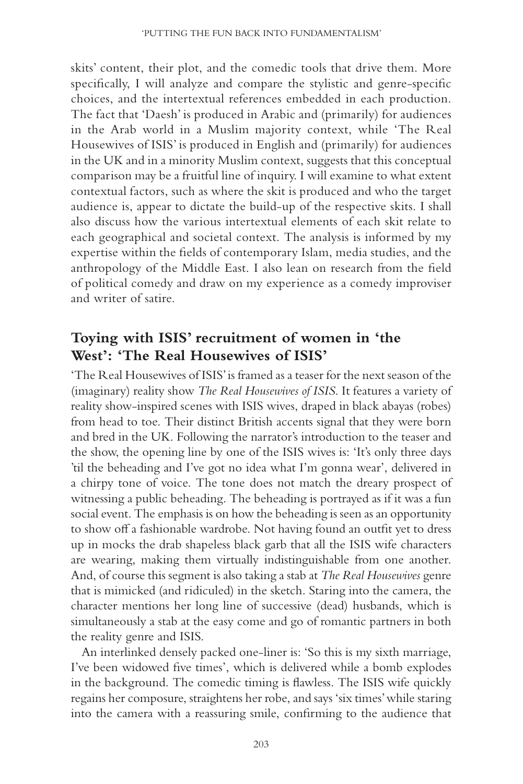skits' content, their plot, and the comedic tools that drive them. More specifically, I will analyze and compare the stylistic and genre-specific choices, and the intertextual references embedded in each production. The fact that 'Daesh' is produced in Arabic and (primarily) for audiences in the Arab world in a Muslim majority context, while 'The Real Housewives of ISIS' is produced in English and (primarily) for audiences in the UK and in a minority Muslim context, suggests that this conceptual comparison may be a fruitful line of inquiry. I will examine to what extent contextual factors, such as where the skit is produced and who the target audience is, appear to dictate the build-up of the respective skits. I shall also discuss how the various intertextual elements of each skit relate to each geographical and societal context. The analysis is informed by my expertise within the fields of contemporary Islam, media studies, and the anthropology of the Middle East. I also lean on research from the field of political comedy and draw on my experience as a comedy improviser and writer of satire.

## **Toying with ISIS' recruitment of women in 'the West': 'The Real Housewives of ISIS'**

'The Real Housewives of ISIS' is framed as a teaser for the next season of the (imaginary) reality show *The Real Housewives of ISIS*. It features a variety of reality show-inspired scenes with ISIS wives, draped in black abayas (robes) from head to toe. Their distinct British accents signal that they were born and bred in the UK. Following the narrator's introduction to the teaser and the show, the opening line by one of the ISIS wives is: 'It's only three days 'til the beheading and I've got no idea what I'm gonna wear', delivered in a chirpy tone of voice. The tone does not match the dreary prospect of witnessing a public beheading. The beheading is portrayed as if it was a fun social event. The emphasis is on how the beheading is seen as an opportunity to show off a fashionable wardrobe. Not having found an outfit yet to dress up in mocks the drab shapeless black garb that all the ISIS wife characters are wearing, making them virtually indistinguishable from one another. And, of course this segment is also taking a stab at *The Real Housewives* genre that is mimicked (and ridiculed) in the sketch. Staring into the camera, the character mentions her long line of successive (dead) husbands, which is simultaneously a stab at the easy come and go of romantic partners in both the reality genre and ISIS.

An interlinked densely packed one-liner is: 'So this is my sixth marriage, I've been widowed five times', which is delivered while a bomb explodes in the background. The comedic timing is flawless. The ISIS wife quickly regains her composure, straightens her robe, and says 'six times' while staring into the camera with a reassuring smile, confirming to the audience that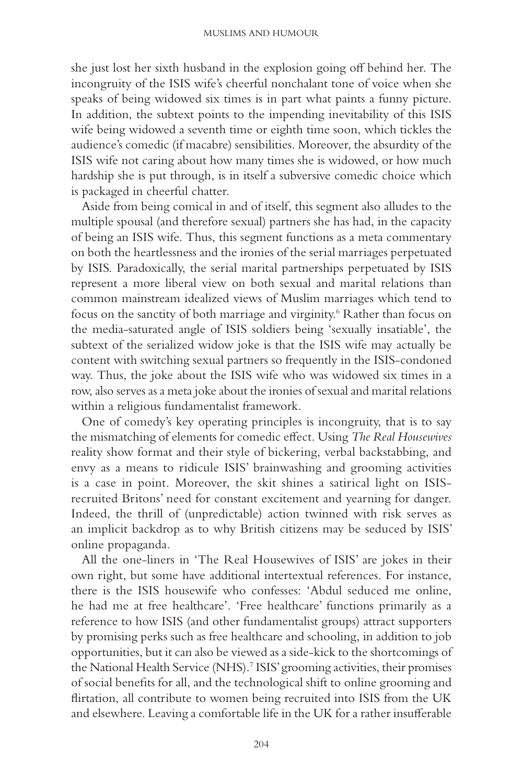she just lost her sixth husband in the explosion going off behind her. The incongruity of the ISIS wife's cheerful nonchalant tone of voice when she speaks of being widowed six times is in part what paints a funny picture. In addition, the subtext points to the impending inevitability of this ISIS wife being widowed a seventh time or eighth time soon, which tickles the audience's comedic (if macabre) sensibilities. Moreover, the absurdity of the ISIS wife not caring about how many times she is widowed, or how much hardship she is put through, is in itself a subversive comedic choice which is packaged in cheerful chatter.

Aside from being comical in and of itself, this segment also alludes to the multiple spousal (and therefore sexual) partners she has had, in the capacity of being an ISIS wife. Thus, this segment functions as a meta commentary on both the heartlessness and the ironies of the serial marriages perpetuated by ISIS. Paradoxically, the serial marital partnerships perpetuated by ISIS represent a more liberal view on both sexual and marital relations than common mainstream idealized views of Muslim marriages which tend to focus on the sanctity of both marriage and virginity. 6 Rather than focus on the media- saturated angle of ISIS soldiers being 'sexually insatiable', the subtext of the serialized widow joke is that the ISIS wife may actually be content with switching sexual partners so frequently in the ISIS-condoned way. Thus, the joke about the ISIS wife who was widowed six times in a row, also serves as a meta joke about the ironies of sexual and marital relations within a religious fundamentalist framework.

One of comedy's key operating principles is incongruity, that is to say the mismatching of elements for comedic effect. Using *The Real Housewives* reality show format and their style of bickering, verbal backstabbing, and envy as a means to ridicule ISIS' brainwashing and grooming activities is a case in point. Moreover, the skit shines a satirical light on ISISrecruited Britons' need for constant excitement and yearning for danger. Indeed, the thrill of (unpredictable) action twinned with risk serves as an implicit backdrop as to why British citizens may be seduced by ISIS' online propaganda.

All the one-liners in 'The Real Housewives of ISIS' are jokes in their own right, but some have additional intertextual references. For instance, there is the ISIS housewife who confesses: 'Abdul seduced me online, he had me at free healthcare'. 'Free healthcare' functions primarily as a reference to how ISIS (and other fundamentalist groups) attract supporters by promising perks such as free healthcare and schooling, in addition to job opportunities, but it can also be viewed as a side- kick to the shortcomings of the National Health Service (NHS).<sup>7</sup> ISIS' grooming activities, their promises of social benefits for all, and the technological shift to online grooming and flirtation, all contribute to women being recruited into ISIS from the UK and elsewhere. Leaving a comfortable life in the UK for a rather insufferable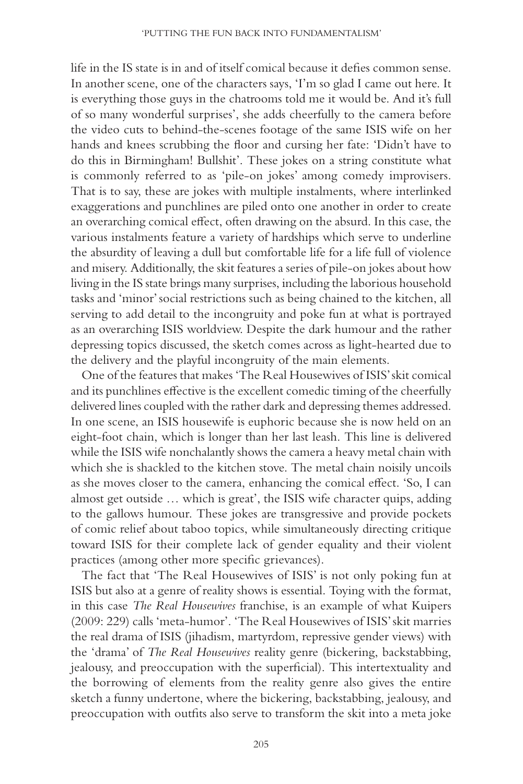life in the IS state is in and of itself comical because it defies common sense. In another scene, one of the characters says, 'I'm so glad I came out here. It is everything those guys in the chatrooms told me it would be. And it's full of so many wonderful surprises', she adds cheerfully to the camera before the video cuts to behind- the- scenes footage of the same ISIS wife on her hands and knees scrubbing the floor and cursing her fate: 'Didn't have to do this in Birmingham! Bullshit'. These jokes on a string constitute what is commonly referred to as 'pile-on jokes' among comedy improvisers. That is to say, these are jokes with multiple instalments, where interlinked exaggerations and punchlines are piled onto one another in order to create an overarching comical effect, often drawing on the absurd. In this case, the various instalments feature a variety of hardships which serve to underline the absurdity of leaving a dull but comfortable life for a life full of violence and misery. Additionally, the skit features a series of pile- on jokes about how living in the IS state brings many surprises, including the laborious household tasks and 'minor' social restrictions such as being chained to the kitchen, all serving to add detail to the incongruity and poke fun at what is portrayed as an overarching ISIS worldview. Despite the dark humour and the rather depressing topics discussed, the sketch comes across as light- hearted due to the delivery and the playful incongruity of the main elements.

One of the features that makes 'The Real Housewives of ISIS' skit comical and its punchlines effective is the excellent comedic timing of the cheerfully delivered lines coupled with the rather dark and depressing themes addressed. In one scene, an ISIS housewife is euphoric because she is now held on an eight- foot chain, which is longer than her last leash. This line is delivered while the ISIS wife nonchalantly shows the camera a heavy metal chain with which she is shackled to the kitchen stove. The metal chain noisily uncoils as she moves closer to the camera, enhancing the comical effect. 'So, I can almost get outside … which is great', the ISIS wife character quips, adding to the gallows humour. These jokes are transgressive and provide pockets of comic relief about taboo topics, while simultaneously directing critique toward ISIS for their complete lack of gender equality and their violent practices (among other more specific grievances).

The fact that 'The Real Housewives of ISIS' is not only poking fun at ISIS but also at a genre of reality shows is essential. Toying with the format, in this case *The Real Housewives* franchise, is an example of what Kuipers (2009: 229) calls 'meta-humor'. 'The Real Housewives of ISIS' skit marries the real drama of ISIS (jihadism, martyrdom, repressive gender views) with the 'drama' of *The Real Housewives* reality genre (bickering, backstabbing, jealousy, and preoccupation with the superficial). This intertextuality and the borrowing of elements from the reality genre also gives the entire sketch a funny undertone, where the bickering, backstabbing, jealousy, and preoccupation with outfits also serve to transform the skit into a meta joke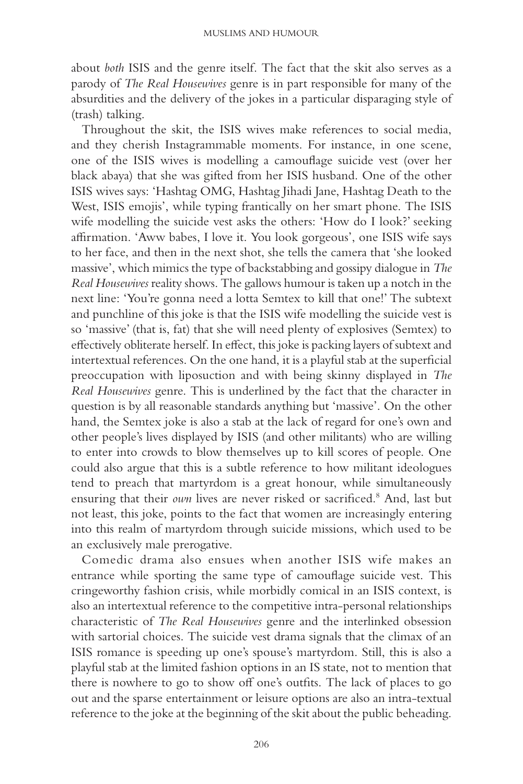about *both* ISIS and the genre itself. The fact that the skit also serves as a parody of *The Real Housewives* genre is in part responsible for many of the absurdities and the delivery of the jokes in a particular disparaging style of (trash) talking.

Throughout the skit, the ISIS wives make references to social media, and they cherish Instagrammable moments. For instance, in one scene, one of the ISIS wives is modelling a camouflage suicide vest (over her black abaya) that she was gifted from her ISIS husband. One of the other ISIS wives says: 'Hashtag OMG, Hashtag Jihadi Jane, Hashtag Death to the West, ISIS emojis', while typing frantically on her smart phone. The ISIS wife modelling the suicide vest asks the others: 'How do I look?' seeking affirmation. 'Aww babes, I love it. You look gorgeous', one ISIS wife says to her face, and then in the next shot, she tells the camera that 'she looked massive', which mimics the type of backstabbing and gossipy dialogue in *The Real Housewives* reality shows. The gallows humour is taken up a notch in the next line: 'You're gonna need a lotta Semtex to kill that one!' The subtext and punchline of this joke is that the ISIS wife modelling the suicide vest is so 'massive' (that is, fat) that she will need plenty of explosives (Semtex) to effectively obliterate herself. In effect, this joke is packing layers of subtext and intertextual references. On the one hand, it is a playful stab at the superficial preoccupation with liposuction and with being skinny displayed in *The Real Housewives* genre. This is underlined by the fact that the character in question is by all reasonable standards anything but 'massive'. On the other hand, the Semtex joke is also a stab at the lack of regard for one's own and other people's lives displayed by ISIS (and other militants) who are willing to enter into crowds to blow themselves up to kill scores of people. One could also argue that this is a subtle reference to how militant ideologues tend to preach that martyrdom is a great honour, while simultaneously ensuring that their own lives are never risked or sacrificed.<sup>8</sup> And, last but not least, this joke, points to the fact that women are increasingly entering into this realm of martyrdom through suicide missions, which used to be an exclusively male prerogative.

Comedic drama also ensues when another ISIS wife makes an entrance while sporting the same type of camouflage suicide vest. This cringeworthy fashion crisis, while morbidly comical in an ISIS context, is also an intertextual reference to the competitive intra- personal relationships characteristic of *The Real Housewives* genre and the interlinked obsession with sartorial choices. The suicide vest drama signals that the climax of an ISIS romance is speeding up one's spouse's martyrdom. Still, this is also a playful stab at the limited fashion options in an IS state, not to mention that there is nowhere to go to show off one's outfits. The lack of places to go out and the sparse entertainment or leisure options are also an intra- textual reference to the joke at the beginning of the skit about the public beheading.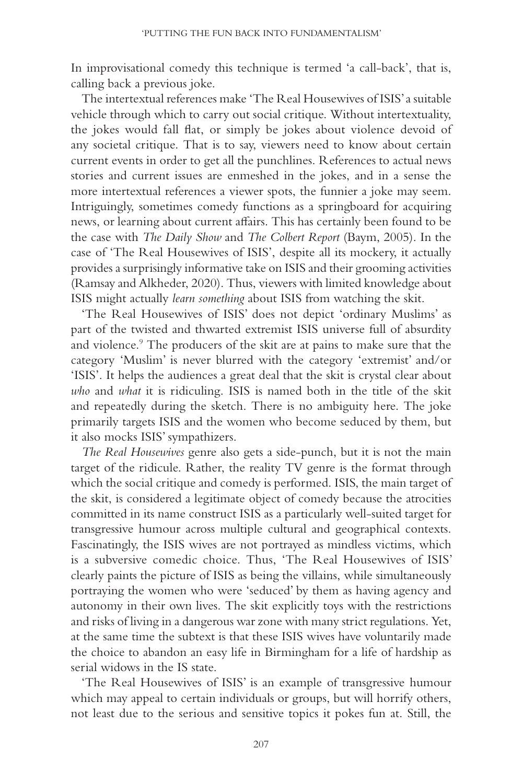In improvisational comedy this technique is termed 'a call-back', that is, calling back a previous joke.

The intertextual references make 'The Real Housewives of ISIS' a suitable vehicle through which to carry out social critique. Without intertextuality, the jokes would fall flat, or simply be jokes about violence devoid of any societal critique. That is to say, viewers need to know about certain current events in order to get all the punchlines. References to actual news stories and current issues are enmeshed in the jokes, and in a sense the more intertextual references a viewer spots, the funnier a joke may seem. Intriguingly, sometimes comedy functions as a springboard for acquiring news, or learning about current affairs. This has certainly been found to be the case with *The Daily Show* and *The Colbert Report* (Baym, 2005). In the case of 'The Real Housewives of ISIS', despite all its mockery, it actually provides a surprisingly informative take on ISIS and their grooming activities (Ramsay and Alkheder, 2020). Thus, viewers with limited knowledge about ISIS might actually *learn something* about ISIS from watching the skit.

'The Real Housewives of ISIS' does not depict 'ordinary Muslims' as part of the twisted and thwarted extremist ISIS universe full of absurdity and violence.<sup>9</sup> The producers of the skit are at pains to make sure that the category 'Muslim' is never blurred with the category 'extremist' and/ or 'ISIS'. It helps the audiences a great deal that the skit is crystal clear about *who* and *what* it is ridiculing. ISIS is named both in the title of the skit and repeatedly during the sketch. There is no ambiguity here. The joke primarily targets ISIS and the women who become seduced by them, but it also mocks ISIS' sympathizers.

*The Real Housewives* genre also gets a side-punch, but it is not the main target of the ridicule. Rather, the reality TV genre is the format through which the social critique and comedy is performed. ISIS, the main target of the skit, is considered a legitimate object of comedy because the atrocities committed in its name construct ISIS as a particularly well-suited target for transgressive humour across multiple cultural and geographical contexts. Fascinatingly, the ISIS wives are not portrayed as mindless victims, which is a subversive comedic choice. Thus, 'The Real Housewives of ISIS' clearly paints the picture of ISIS as being the villains, while simultaneously portraying the women who were 'seduced' by them as having agency and autonomy in their own lives. The skit explicitly toys with the restrictions and risks of living in a dangerous war zone with many strict regulations. Yet, at the same time the subtext is that these ISIS wives have voluntarily made the choice to abandon an easy life in Birmingham for a life of hardship as serial widows in the IS state.

'The Real Housewives of ISIS' is an example of transgressive humour which may appeal to certain individuals or groups, but will horrify others, not least due to the serious and sensitive topics it pokes fun at. Still, the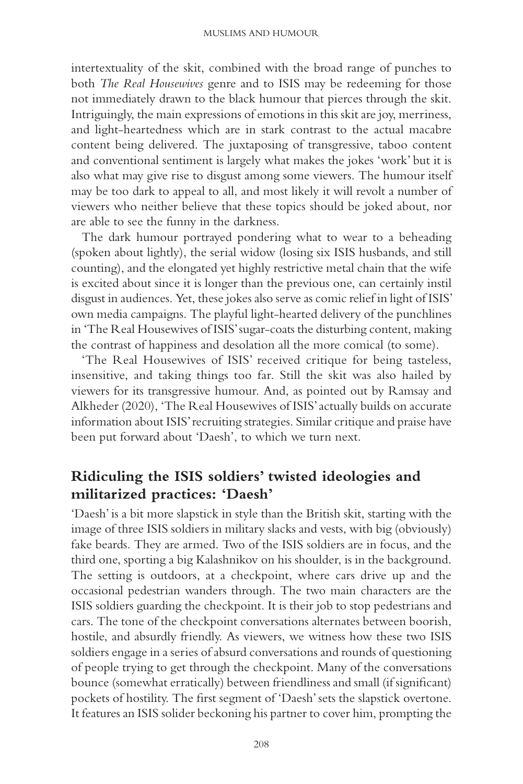intertextuality of the skit, combined with the broad range of punches to both *The Real Housewives* genre and to ISIS may be redeeming for those not immediately drawn to the black humour that pierces through the skit. Intriguingly, the main expressions of emotions in this skit are joy, merriness, and light- heartedness which are in stark contrast to the actual macabre content being delivered. The juxtaposing of transgressive, taboo content and conventional sentiment is largely what makes the jokes 'work' but it is also what may give rise to disgust among some viewers. The humour itself may be too dark to appeal to all, and most likely it will revolt a number of viewers who neither believe that these topics should be joked about, nor are able to see the funny in the darkness.

The dark humour portrayed pondering what to wear to a beheading (spoken about lightly), the serial widow (losing six ISIS husbands, and still counting), and the elongated yet highly restrictive metal chain that the wife is excited about since it is longer than the previous one, can certainly instil disgust in audiences. Yet, these jokes also serve as comic relief in light of ISIS' own media campaigns. The playful light- hearted delivery of the punchlines in 'The Real Housewives of ISIS' sugar- coats the disturbing content, making the contrast of happiness and desolation all the more comical (to some).

'The Real Housewives of ISIS' received critique for being tasteless, insensitive, and taking things too far. Still the skit was also hailed by viewers for its transgressive humour. And, as pointed out by Ramsay and Alkheder (2020), 'The Real Housewives of ISIS' actually builds on accurate information about ISIS' recruiting strategies. Similar critique and praise have been put forward about 'Daesh', to which we turn next.

# **Ridiculing the ISIS soldiers' twisted ideologies and militarized practices: 'Daesh'**

'Daesh' is a bit more slapstick in style than the British skit, starting with the image of three ISIS soldiers in military slacks and vests, with big (obviously) fake beards. They are armed. Two of the ISIS soldiers are in focus, and the third one, sporting a big Kalashnikov on his shoulder, is in the background. The setting is outdoors, at a checkpoint, where cars drive up and the occasional pedestrian wanders through. The two main characters are the ISIS soldiers guarding the checkpoint. It is their job to stop pedestrians and cars. The tone of the checkpoint conversations alternates between boorish, hostile, and absurdly friendly. As viewers, we witness how these two ISIS soldiers engage in a series of absurd conversations and rounds of questioning of people trying to get through the checkpoint. Many of the conversations bounce (somewhat erratically) between friendliness and small (if significant) pockets of hostility. The first segment of 'Daesh' sets the slapstick overtone. It features an ISIS solider beckoning his partner to cover him, prompting the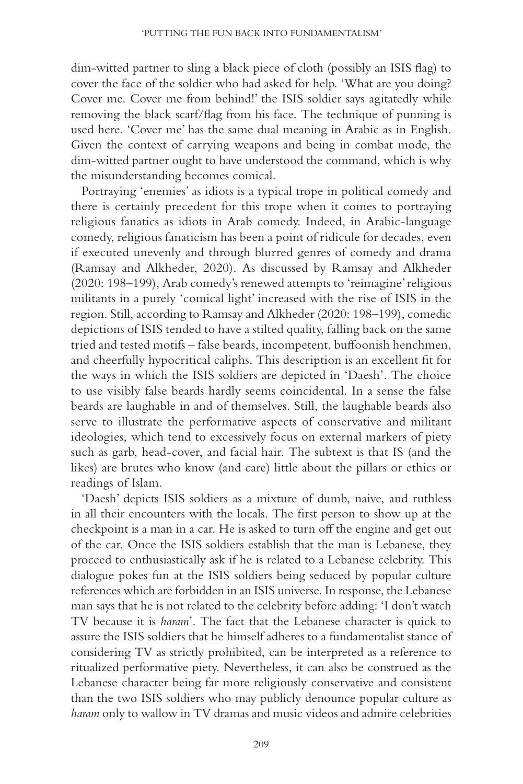dim-witted partner to sling a black piece of cloth (possibly an ISIS flag) to cover the face of the soldier who had asked for help. 'What are you doing? Cover me. Cover me from behind!' the ISIS soldier says agitatedly while removing the black scarf/flag from his face. The technique of punning is used here. 'Cover me' has the same dual meaning in Arabic as in English. Given the context of carrying weapons and being in combat mode, the dim- witted partner ought to have understood the command, which is why the misunderstanding becomes comical.

Portraying 'enemies' as idiots is a typical trope in political comedy and there is certainly precedent for this trope when it comes to portraying religious fanatics as idiots in Arab comedy. Indeed, in Arabic-language comedy, religious fanaticism has been a point of ridicule for decades, even if executed unevenly and through blurred genres of comedy and drama (Ramsay and Alkheder, 2020). As discussed by Ramsay and Alkheder (2020: 198–199), Arab comedy's renewed attempts to 'reimagine' religious militants in a purely 'comical light' increased with the rise of ISIS in the region. Still, according to Ramsay and Alkheder (2020: 198-199), comedic depictions of ISIS tended to have a stilted quality, falling back on the same tried and tested motifs – false beards, incompetent, buffoonish henchmen, and cheerfully hypocritical caliphs. This description is an excellent fit for the ways in which the ISIS soldiers are depicted in 'Daesh'. The choice to use visibly false beards hardly seems coincidental. In a sense the false beards are laughable in and of themselves. Still, the laughable beards also serve to illustrate the performative aspects of conservative and militant ideologies, which tend to excessively focus on external markers of piety such as garb, head-cover, and facial hair. The subtext is that IS (and the likes) are brutes who know (and care) little about the pillars or ethics or readings of Islam.

'Daesh' depicts ISIS soldiers as a mixture of dumb, naive, and ruthless in all their encounters with the locals. The first person to show up at the checkpoint is a man in a car. He is asked to turn off the engine and get out of the car. Once the ISIS soldiers establish that the man is Lebanese, they proceed to enthusiastically ask if he is related to a Lebanese celebrity. This dialogue pokes fun at the ISIS soldiers being seduced by popular culture references which are forbidden in an ISIS universe. In response, the Lebanese man says that he is not related to the celebrity before adding: 'I don't watch TV because it is *haram*'. The fact that the Lebanese character is quick to assure the ISIS soldiers that he himself adheres to a fundamentalist stance of considering TV as strictly prohibited, can be interpreted as a reference to ritualized performative piety. Nevertheless, it can also be construed as the Lebanese character being far more religiously conservative and consistent than the two ISIS soldiers who may publicly denounce popular culture as *haram* only to wallow in TV dramas and music videos and admire celebrities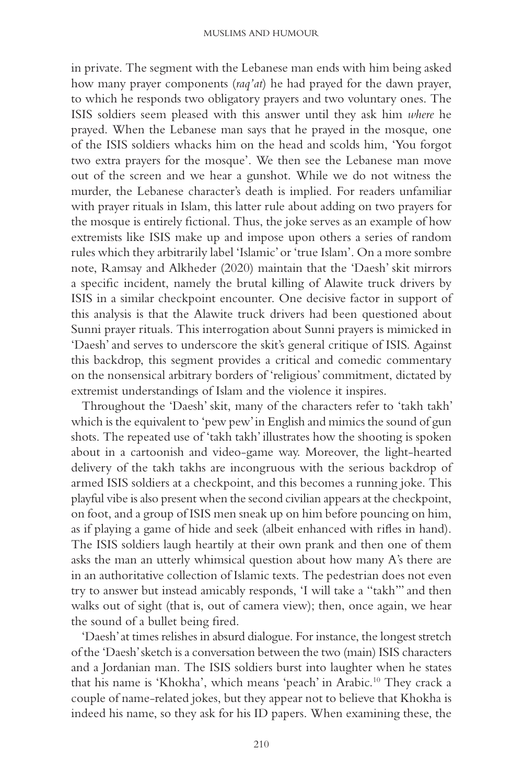in private. The segment with the Lebanese man ends with him being asked how many prayer components ( *raq'at*) he had prayed for the dawn prayer, to which he responds two obligatory prayers and two voluntary ones. The ISIS soldiers seem pleased with this answer until they ask him *where* he prayed. When the Lebanese man says that he prayed in the mosque, one of the ISIS soldiers whacks him on the head and scolds him, 'You forgot two extra prayers for the mosque'. We then see the Lebanese man move out of the screen and we hear a gunshot. While we do not witness the murder, the Lebanese character's death is implied. For readers unfamiliar with prayer rituals in Islam, this latter rule about adding on two prayers for the mosque is entirely fictional. Thus, the joke serves as an example of how extremists like ISIS make up and impose upon others a series of random rules which they arbitrarily label 'Islamic' or 'true Islam'. On a more sombre note, Ramsay and Alkheder (2020) maintain that the 'Daesh' skit mirrors a specific incident, namely the brutal killing of Alawite truck drivers by ISIS in a similar checkpoint encounter. One decisive factor in support of this analysis is that the Alawite truck drivers had been questioned about Sunni prayer rituals. This interrogation about Sunni prayers is mimicked in 'Daesh' and serves to underscore the skit's general critique of ISIS. Against this backdrop, this segment provides a critical and comedic commentary on the nonsensical arbitrary borders of 'religious' commitment, dictated by extremist understandings of Islam and the violence it inspires.

Throughout the 'Daesh' skit, many of the characters refer to 'takh takh' which is the equivalent to 'pew pew' in English and mimics the sound of gun shots. The repeated use of 'takh takh' illustrates how the shooting is spoken about in a cartoonish and video-game way. Moreover, the light-hearted delivery of the takh takhs are incongruous with the serious backdrop of armed ISIS soldiers at a checkpoint, and this becomes a running joke. This playful vibe is also present when the second civilian appears at the checkpoint, on foot, and a group of ISIS men sneak up on him before pouncing on him, as if playing a game of hide and seek (albeit enhanced with rifles in hand). The ISIS soldiers laugh heartily at their own prank and then one of them asks the man an utterly whimsical question about how many A's there are in an authoritative collection of Islamic texts. The pedestrian does not even try to answer but instead amicably responds, 'I will take a "takh''' and then walks out of sight (that is, out of camera view); then, once again, we hear the sound of a bullet being fired.

'Daesh' at times relishes in absurd dialogue. For instance, the longest stretch of the 'Daesh' sketch is a conversation between the two (main) ISIS characters and a Jordanian man. The ISIS soldiers burst into laughter when he states that his name is 'Khokha', which means 'peach' in Arabic. 10 They crack a couple of name- related jokes, but they appear not to believe that Khokha is indeed his name, so they ask for his ID papers. When examining these, the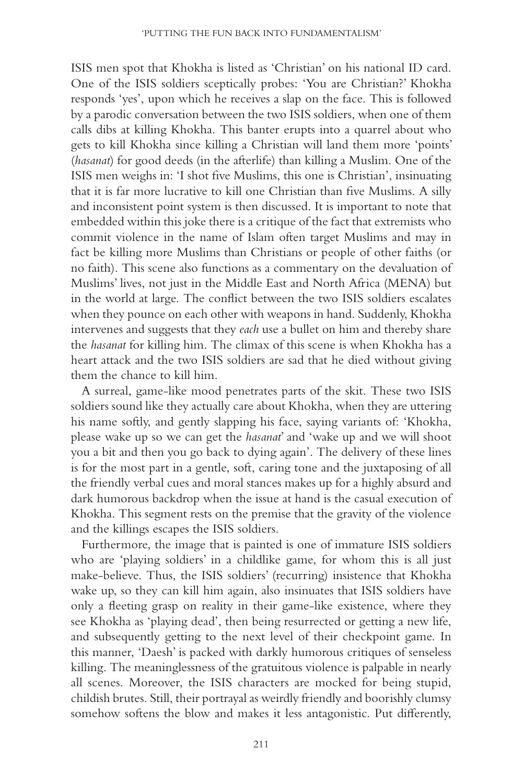ISIS men spot that Khokha is listed as 'Christian' on his national ID card. One of the ISIS soldiers sceptically probes: 'You are Christian?' Khokha responds 'yes', upon which he receives a slap on the face. This is followed by a parodic conversation between the two ISIS soldiers, when one of them calls dibs at killing Khokha. This banter erupts into a quarrel about who gets to kill Khokha since killing a Christian will land them more 'points' ( *hasanat*) for good deeds (in the afterlife) than killing a Muslim. One of the ISIS men weighs in: 'I shot five Muslims, this one is Christian', insinuating that it is far more lucrative to kill one Christian than five Muslims. A silly and inconsistent point system is then discussed. It is important to note that embedded within this joke there is a critique of the fact that extremists who commit violence in the name of Islam often target Muslims and may in fact be killing more Muslims than Christians or people of other faiths (or no faith). This scene also functions as a commentary on the devaluation of Muslims' lives, not just in the Middle East and North Africa (MENA) but in the world at large. The conflict between the two ISIS soldiers escalates when they pounce on each other with weapons in hand. Suddenly, Khokha intervenes and suggests that they *each* use a bullet on him and thereby share the *hasanat* for killing him. The climax of this scene is when Khokha has a heart attack and the two ISIS soldiers are sad that he died without giving them the chance to kill him.

A surreal, game-like mood penetrates parts of the skit. These two ISIS soldiers sound like they actually care about Khokha, when they are uttering his name softly, and gently slapping his face, saying variants of: 'Khokha, please wake up so we can get the *hasanat*' and 'wake up and we will shoot you a bit and then you go back to dying again'. The delivery of these lines is for the most part in a gentle, soft, caring tone and the juxtaposing of all the friendly verbal cues and moral stances makes up for a highly absurd and dark humorous backdrop when the issue at hand is the casual execution of Khokha. This segment rests on the premise that the gravity of the violence and the killings escapes the ISIS soldiers.

Furthermore, the image that is painted is one of immature ISIS soldiers who are 'playing soldiers' in a childlike game, for whom this is all just make- believe. Thus, the ISIS soldiers' (recurring) insistence that Khokha wake up, so they can kill him again, also insinuates that ISIS soldiers have only a fleeting grasp on reality in their game-like existence, where they see Khokha as 'playing dead', then being resurrected or getting a new life, and subsequently getting to the next level of their checkpoint game. In this manner, 'Daesh' is packed with darkly humorous critiques of senseless killing. The meaninglessness of the gratuitous violence is palpable in nearly all scenes. Moreover, the ISIS characters are mocked for being stupid, childish brutes. Still, their portrayal as weirdly friendly and boorishly clumsy somehow softens the blow and makes it less antagonistic. Put differently,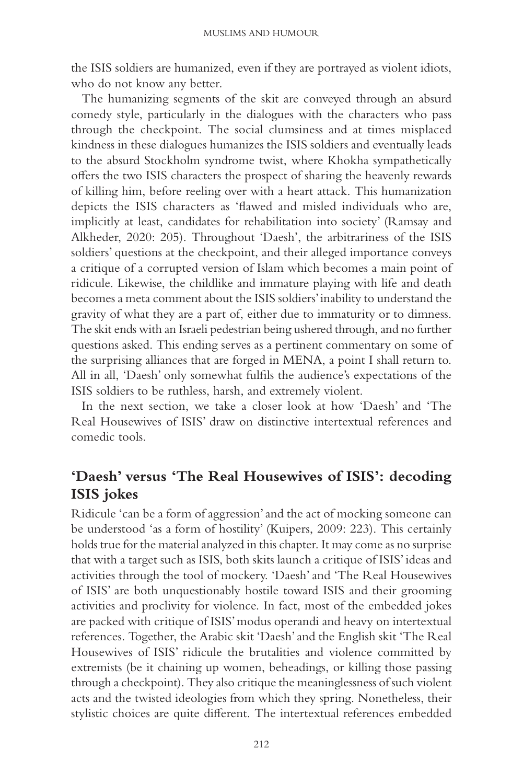the ISIS soldiers are humanized, even if they are portrayed as violent idiots, who do not know any better.

The humanizing segments of the skit are conveyed through an absurd comedy style, particularly in the dialogues with the characters who pass through the checkpoint. The social clumsiness and at times misplaced kindness in these dialogues humanizes the ISIS soldiers and eventually leads to the absurd Stockholm syndrome twist, where Khokha sympathetically offers the two ISIS characters the prospect of sharing the heavenly rewards of killing him, before reeling over with a heart attack. This humanization depicts the ISIS characters as 'flawed and misled individuals who are, implicitly at least, candidates for rehabilitation into society' (Ramsay and Alkheder, 2020: 205). Throughout 'Daesh', the arbitrariness of the ISIS soldiers' questions at the checkpoint, and their alleged importance conveys a critique of a corrupted version of Islam which becomes a main point of ridicule. Likewise, the childlike and immature playing with life and death becomes a meta comment about the ISIS soldiers' inability to understand the gravity of what they are a part of, either due to immaturity or to dimness. The skit ends with an Israeli pedestrian being ushered through, and no further questions asked. This ending serves as a pertinent commentary on some of the surprising alliances that are forged in MENA, a point I shall return to. All in all, 'Daesh' only somewhat fulfils the audience's expectations of the ISIS soldiers to be ruthless, harsh, and extremely violent.

In the next section, we take a closer look at how 'Daesh' and 'The Real Housewives of ISIS' draw on distinctive intertextual references and comedic tools.

## **'Daesh' versus 'The Real Housewives of ISIS': decoding ISIS jokes**

Ridicule 'can be a form of aggression' and the act of mocking someone can be understood 'as a form of hostility' (Kuipers, 2009: 223). This certainly holds true for the material analyzed in this chapter. It may come as no surprise that with a target such as ISIS, both skits launch a critique of ISIS' ideas and activities through the tool of mockery. 'Daesh' and 'The Real Housewives of ISIS' are both unquestionably hostile toward ISIS and their grooming activities and proclivity for violence. In fact, most of the embedded jokes are packed with critique of ISIS' modus operandi and heavy on intertextual references. Together, the Arabic skit 'Daesh' and the English skit 'The Real Housewives of ISIS' ridicule the brutalities and violence committed by extremists (be it chaining up women, beheadings, or killing those passing through a checkpoint). They also critique the meaninglessness of such violent acts and the twisted ideologies from which they spring. Nonetheless, their stylistic choices are quite different. The intertextual references embedded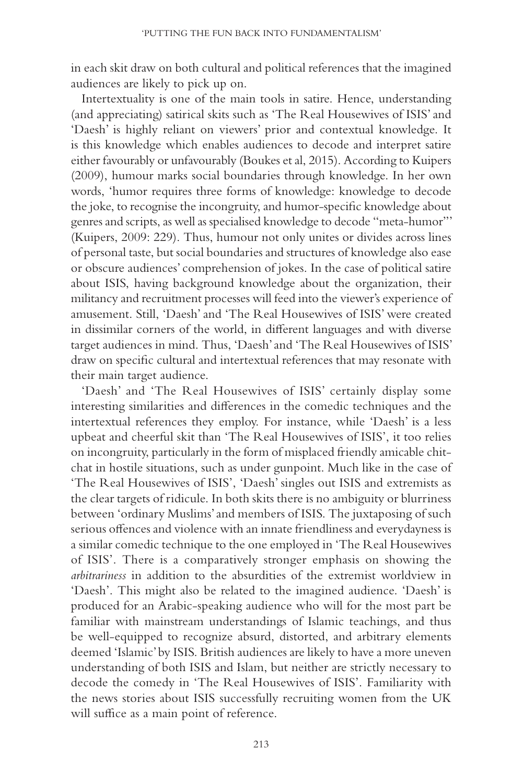in each skit draw on both cultural and political references that the imagined audiences are likely to pick up on.

Intertextuality is one of the main tools in satire. Hence, understanding (and appreciating) satirical skits such as 'The Real Housewives of ISIS' and 'Daesh' is highly reliant on viewers' prior and contextual knowledge. It is this knowledge which enables audiences to decode and interpret satire either favourably or unfavourably (Boukes et al, 2015). According to Kuipers (2009), humour marks social boundaries through knowledge. In her own words, 'humor requires three forms of knowledge: knowledge to decode the joke, to recognise the incongruity, and humor-specific knowledge about genres and scripts, as well as specialised knowledge to decode "meta-humor" (Kuipers, 2009: 229). Thus, humour not only unites or divides across lines of personal taste, but social boundaries and structures of knowledge also ease or obscure audiences' comprehension of jokes. In the case of political satire about ISIS, having background knowledge about the organization, their militancy and recruitment processes will feed into the viewer's experience of amusement. Still, 'Daesh' and 'The Real Housewives of ISIS' were created in dissimilar corners of the world, in different languages and with diverse target audiences in mind. Thus, 'Daesh' and 'The Real Housewives of ISIS' draw on specific cultural and intertextual references that may resonate with their main target audience.

'Daesh' and 'The Real Housewives of ISIS' certainly display some interesting similarities and differences in the comedic techniques and the intertextual references they employ. For instance, while 'Daesh' is a less upbeat and cheerful skit than 'The Real Housewives of ISIS', it too relies on incongruity, particularly in the form of misplaced friendly amicable chitchat in hostile situations, such as under gunpoint. Much like in the case of 'The Real Housewives of ISIS', 'Daesh' singles out ISIS and extremists as the clear targets of ridicule. In both skits there is no ambiguity or blurriness between 'ordinary Muslims' and members of ISIS. The juxtaposing of such serious offences and violence with an innate friendliness and everydayness is a similar comedic technique to the one employed in 'The Real Housewives of ISIS'. There is a comparatively stronger emphasis on showing the *arbitrariness* in addition to the absurdities of the extremist worldview in 'Daesh'. This might also be related to the imagined audience. 'Daesh' is produced for an Arabic- speaking audience who will for the most part be familiar with mainstream understandings of Islamic teachings, and thus be well-equipped to recognize absurd, distorted, and arbitrary elements deemed 'Islamic' by ISIS. British audiences are likely to have a more uneven understanding of both ISIS and Islam, but neither are strictly necessary to decode the comedy in 'The Real Housewives of ISIS'. Familiarity with the news stories about ISIS successfully recruiting women from the UK will suffice as a main point of reference.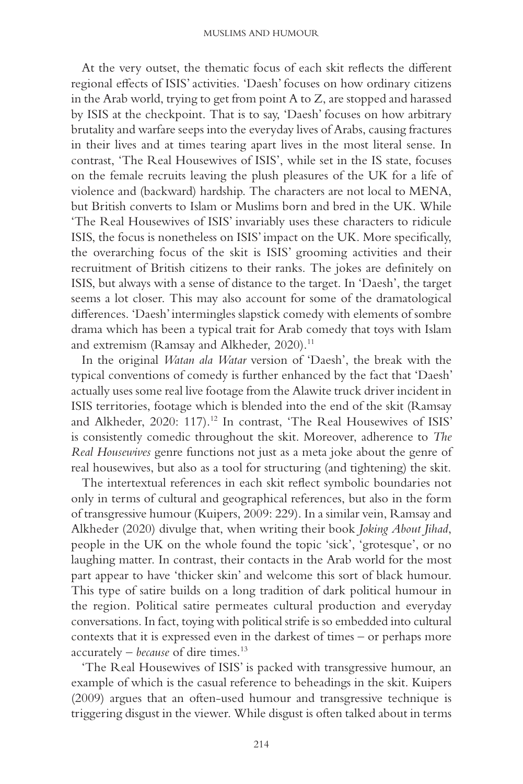At the very outset, the thematic focus of each skit reflects the different regional effects of ISIS' activities. 'Daesh' focuses on how ordinary citizens in the Arab world, trying to get from point A to Z, are stopped and harassed by ISIS at the checkpoint. That is to say, 'Daesh' focuses on how arbitrary brutality and warfare seeps into the everyday lives of Arabs, causing fractures in their lives and at times tearing apart lives in the most literal sense. In contrast, 'The Real Housewives of ISIS', while set in the IS state, focuses on the female recruits leaving the plush pleasures of the UK for a life of violence and (backward) hardship. The characters are not local to MENA, but British converts to Islam or Muslims born and bred in the UK. While 'The Real Housewives of ISIS' invariably uses these characters to ridicule ISIS, the focus is nonetheless on ISIS' impact on the UK. More specifically, the overarching focus of the skit is ISIS' grooming activities and their recruitment of British citizens to their ranks. The jokes are definitely on ISIS, but always with a sense of distance to the target. In 'Daesh', the target seems a lot closer. This may also account for some of the dramatological differences. 'Daesh' intermingles slapstick comedy with elements of sombre drama which has been a typical trait for Arab comedy that toys with Islam and extremism (Ramsay and Alkheder, 2020).<sup>11</sup>

In the original *Watan ala Watar* version of 'Daesh', the break with the typical conventions of comedy is further enhanced by the fact that 'Daesh' actually uses some real live footage from the Alawite truck driver incident in ISIS territories, footage which is blended into the end of the skit (Ramsay and Alkheder, 2020: 117).<sup>12</sup> In contrast, 'The Real Housewives of ISIS' is consistently comedic throughout the skit. Moreover, adherence to *The Real Housewives* genre functions not just as a meta joke about the genre of real housewives, but also as a tool for structuring (and tightening) the skit.

The intertextual references in each skit reflect symbolic boundaries not only in terms of cultural and geographical references, but also in the form of transgressive humour (Kuipers, 2009: 229). In a similar vein, Ramsay and Alkheder (2020) divulge that, when writing their book *Joking About Jihad*, people in the UK on the whole found the topic 'sick', 'grotesque', or no laughing matter. In contrast, their contacts in the Arab world for the most part appear to have 'thicker skin' and welcome this sort of black humour. This type of satire builds on a long tradition of dark political humour in the region. Political satire permeates cultural production and everyday conversations. In fact, toying with political strife is so embedded into cultural contexts that it is expressed even in the darkest of times  $-$  or perhaps more accurately – *because* of dire times. 13

'The Real Housewives of ISIS' is packed with transgressive humour, an example of which is the casual reference to beheadings in the skit. Kuipers (2009) argues that an often-used humour and transgressive technique is triggering disgust in the viewer. While disgust is often talked about in terms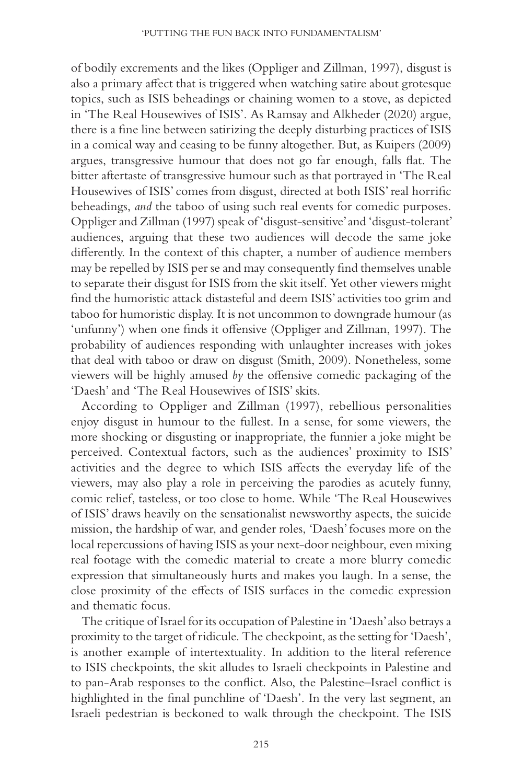of bodily excrements and the likes ( Oppliger and Zillman, 1997 ), disgust is also a primary affect that is triggered when watching satire about grotesque topics, such as ISIS beheadings or chaining women to a stove, as depicted in 'The Real Housewives of ISIS'. As Ramsay and Alkheder (2020) argue, there is a fine line between satirizing the deeply disturbing practices of ISIS in a comical way and ceasing to be funny altogether. But, as Kuipers (2009) argues, transgressive humour that does not go far enough, falls flat. The bitter aftertaste of transgressive humour such as that portrayed in 'The Real Housewives of ISIS' comes from disgust, directed at both ISIS' real horrific beheadings, *and* the taboo of using such real events for comedic purposes. Oppliger and Zillman (1997 ) speak of 'disgust- sensitive' and 'disgust- tolerant' audiences, arguing that these two audiences will decode the same joke differently. In the context of this chapter, a number of audience members may be repelled by ISIS per se and may consequently find themselves unable to separate their disgust for ISIS from the skit itself. Yet other viewers might find the humoristic attack distasteful and deem ISIS' activities too grim and taboo for humoristic display. It is not uncommon to downgrade humour (as 'unfunny') when one finds it offensive (Oppliger and Zillman, 1997). The probability of audiences responding with unlaughter increases with jokes that deal with taboo or draw on disgust (Smith, 2009). Nonetheless, some viewers will be highly amused by the offensive comedic packaging of the 'Daesh' and 'The Real Housewives of ISIS' skits.

According to Oppliger and Zillman (1997), rebellious personalities enjoy disgust in humour to the fullest. In a sense, for some viewers, the more shocking or disgusting or inappropriate, the funnier a joke might be perceived. Contextual factors, such as the audiences' proximity to ISIS' activities and the degree to which ISIS affects the everyday life of the viewers, may also play a role in perceiving the parodies as acutely funny, comic relief, tasteless, or too close to home. While 'The Real Housewives of ISIS' draws heavily on the sensationalist newsworthy aspects, the suicide mission, the hardship of war, and gender roles, 'Daesh' focuses more on the local repercussions of having ISIS as your next-door neighbour, even mixing real footage with the comedic material to create a more blurry comedic expression that simultaneously hurts and makes you laugh. In a sense, the close proximity of the effects of ISIS surfaces in the comedic expression and thematic focus.

The critique of Israel for its occupation of Palestine in 'Daesh' also betrays a proximity to the target of ridicule. The checkpoint, as the setting for 'Daesh', is another example of intertextuality *.* In addition to the literal reference to ISIS checkpoints, the skit alludes to Israeli checkpoints in Palestine and to pan-Arab responses to the conflict. Also, the Palestine–Israel conflict is highlighted in the final punchline of 'Daesh'. In the very last segment, an Israeli pedestrian is beckoned to walk through the checkpoint. The ISIS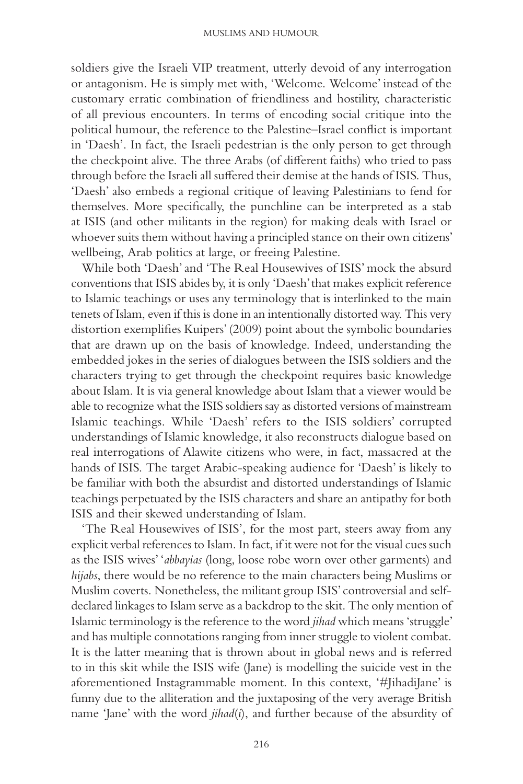soldiers give the Israeli VIP treatment, utterly devoid of any interrogation or antagonism. He is simply met with, 'Welcome. Welcome' instead of the customary erratic combination of friendliness and hostility, characteristic of all previous encounters. In terms of encoding social critique into the political humour, the reference to the Palestine–Israel conflict is important in 'Daesh'. In fact, the Israeli pedestrian is the only person to get through the checkpoint alive. The three Arabs (of different faiths) who tried to pass through before the Israeli all suffered their demise at the hands of ISIS. Thus, 'Daesh' also embeds a regional critique of leaving Palestinians to fend for themselves. More specifically, the punchline can be interpreted as a stab at ISIS (and other militants in the region) for making deals with Israel or whoever suits them without having a principled stance on their own citizens' wellbeing, Arab politics at large, or freeing Palestine.

While both 'Daesh' and 'The Real Housewives of ISIS' mock the absurd conventions that ISIS abides by, it is only 'Daesh' that makes explicit reference to Islamic teachings or uses any terminology that is interlinked to the main tenets of Islam, even if this is done in an intentionally distorted way. This very distortion exemplifies Kuipers' (2009) point about the symbolic boundaries that are drawn up on the basis of knowledge. Indeed, understanding the embedded jokes in the series of dialogues between the ISIS soldiers and the characters trying to get through the checkpoint requires basic knowledge about Islam. It is via general knowledge about Islam that a viewer would be able to recognize what the ISIS soldiers say as distorted versions of mainstream Islamic teachings. While 'Daesh' refers to the ISIS soldiers' corrupted understandings of Islamic knowledge, it also reconstructs dialogue based on real interrogations of Alawite citizens who were, in fact, massacred at the hands of ISIS. The target Arabic-speaking audience for 'Daesh' is likely to be familiar with both the absurdist and distorted understandings of Islamic teachings perpetuated by the ISIS characters and share an antipathy for both ISIS and their skewed understanding of Islam.

'The Real Housewives of ISIS', for the most part, steers away from any explicit verbal references to Islam. In fact, if it were not for the visual cues such as the ISIS wives' ' *abbayias* (long, loose robe worn over other garments) and *hijabs* , there would be no reference to the main characters being Muslims or Muslim coverts. Nonetheless, the militant group ISIS' controversial and selfdeclared linkages to Islam serve as a backdrop to the skit. The only mention of Islamic terminology is the reference to the word *jihad* which means 'struggle' and has multiple connotations ranging from inner struggle to violent combat. It is the latter meaning that is thrown about in global news and is referred to in this skit while the ISIS wife (Jane) is modelling the suicide vest in the aforementioned Instagrammable moment. In this context, '#JihadiJane' is funny due to the alliteration and the juxtaposing of the very average British name 'Jane' with the word *jihad*(*i*), and further because of the absurdity of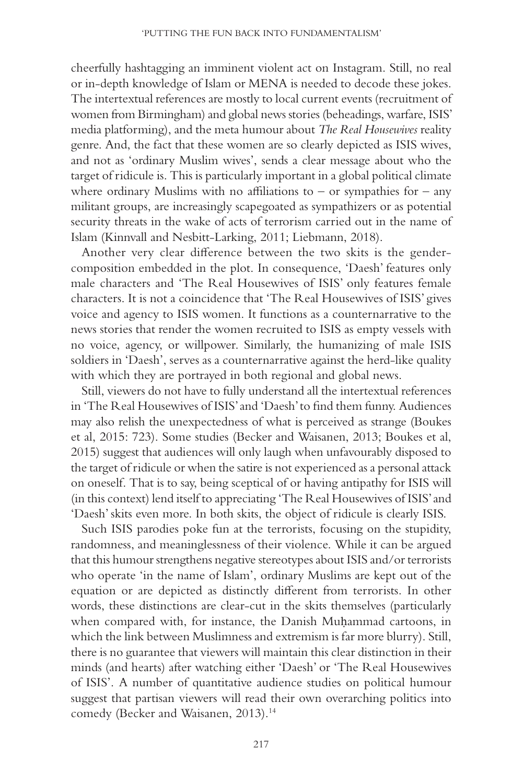cheerfully hashtagging an imminent violent act on Instagram. Still, no real or in- depth knowledge of Islam or MENA is needed to decode these jokes. The intertextual references are mostly to local current events (recruitment of women from Birmingham) and global news stories (beheadings, warfare, ISIS' media platforming), and the meta humour about *The Real Housewives* reality genre. And, the fact that these women are so clearly depicted as ISIS wives, and not as 'ordinary Muslim wives', sends a clear message about who the target of ridicule is. This is particularly important in a global political climate where ordinary Muslims with no affiliations to – or sympathies for – any militant groups, are increasingly scapegoated as sympathizers or as potential security threats in the wake of acts of terrorism carried out in the name of Islam (Kinnvall and Nesbitt-Larking, 2011; Liebmann, 2018).

Another very clear difference between the two skits is the gendercomposition embedded in the plot. In consequence, 'Daesh' features only male characters and 'The Real Housewives of ISIS' only features female characters. It is not a coincidence that 'The Real Housewives of ISIS' gives voice and agency to ISIS women. It functions as a counternarrative to the news stories that render the women recruited to ISIS as empty vessels with no voice, agency, or willpower. Similarly, the humanizing of male ISIS soldiers in 'Daesh', serves as a counternarrative against the herd-like quality with which they are portrayed in both regional and global news.

Still, viewers do not have to fully understand all the intertextual references in 'The Real Housewives of ISIS' and 'Daesh' to find them funny. Audiences may also relish the unexpectedness of what is perceived as strange (Boukes et al, 2015: 723). Some studies (Becker and Waisanen, 2013; Boukes et al, 2015 ) suggest that audiences will only laugh when unfavourably disposed to the target of ridicule or when the satire is not experienced as a personal attack on oneself. That is to say, being sceptical of or having antipathy for ISIS will (in this context) lend itself to appreciating 'The Real Housewives of ISIS' and 'Daesh' skits even more. In both skits, the object of ridicule is clearly ISIS.

Such ISIS parodies poke fun at the terrorists, focusing on the stupidity, randomness, and meaninglessness of their violence. While it can be argued that this humour strengthens negative stereotypes about ISIS and/ or terrorists who operate 'in the name of Islam', ordinary Muslims are kept out of the equation or are depicted as distinctly different from terrorists. In other words, these distinctions are clear-cut in the skits themselves (particularly when compared with, for instance, the Danish Muhammad cartoons, in which the link between Muslimness and extremism is far more blurry). Still, there is no guarantee that viewers will maintain this clear distinction in their minds (and hearts) after watching either 'Daesh' or 'The Real Housewives of ISIS'. A number of quantitative audience studies on political humour suggest that partisan viewers will read their own overarching politics into comedy (Becker and Waisanen, 2013).<sup>14</sup>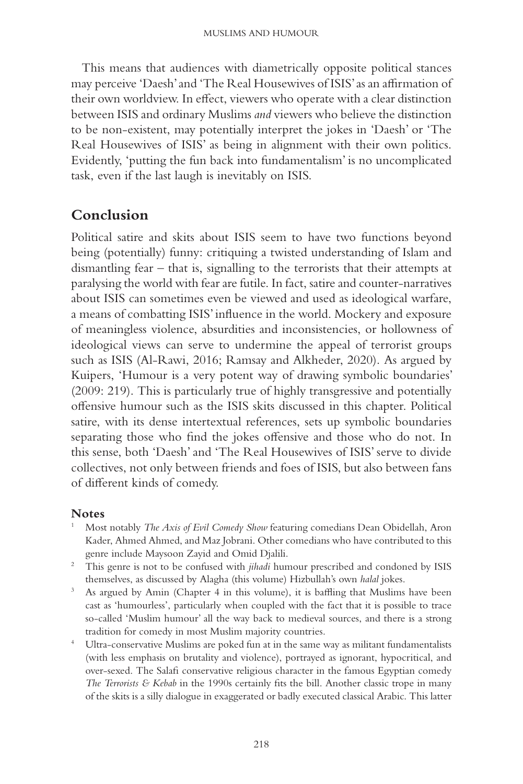This means that audiences with diametrically opposite political stances may perceive 'Daesh' and 'The Real Housewives of ISIS' as an affirmation of their own worldview. In effect, viewers who operate with a clear distinction between ISIS and ordinary Muslims *and* viewers who believe the distinction to be non- existent, may potentially interpret the jokes in 'Daesh' or 'The Real Housewives of ISIS' as being in alignment with their own politics. Evidently, 'putting the fun back into fundamentalism' is no uncomplicated task, even if the last laugh is inevitably on ISIS.

### **Conclusion**

Political satire and skits about ISIS seem to have two functions beyond being (potentially) funny: critiquing a twisted understanding of Islam and dismantling fear  $-$  that is, signalling to the terrorists that their attempts at paralysing the world with fear are futile. In fact, satire and counter-narratives about ISIS can sometimes even be viewed and used as ideological warfare, a means of combatting ISIS' influence in the world. Mockery and exposure of meaningless violence, absurdities and inconsistencies, or hollowness of ideological views can serve to undermine the appeal of terrorist groups such as ISIS (Al-Rawi, 2016; Ramsay and Alkheder, 2020). As argued by Kuipers, 'Humour is a very potent way of drawing symbolic boundaries' (2009: 219). This is particularly true of highly transgressive and potentially offensive humour such as the ISIS skits discussed in this chapter. Political satire, with its dense intertextual references, sets up symbolic boundaries separating those who find the jokes offensive and those who do not. In this sense, both 'Daesh' and 'The Real Housewives of ISIS' serve to divide collectives, not only between friends and foes of ISIS, but also between fans of different kinds of comedy.

#### **Notes**

- 1 Most notably *The Axis of Evil Comedy Show* featuring comedians Dean Obidellah, Aron Kader, Ahmed Ahmed, and Maz Jobrani. Other comedians who have contributed to this
- genre include Maysoon Zayid and Omid Djalili. 2 This genre is not to be confused with *jihadi* humour prescribed and condoned by ISIS
- themselves, as discussed by Alagha (this volume) Hizbullah's own *halal* jokes.<br>As argued by Amin (Chapter 4 in this volume), it is baffling that Muslims have been cast as 'humourless', particularly when coupled with the fact that it is possible to trace so- called 'Muslim humour' all the way back to medieval sources, and there is a strong
- tradition for comedy in most Muslim majority countries.<br><sup>4</sup> Ultra-conservative Muslims are poked fun at in the same way as militant fundamentalists (with less emphasis on brutality and violence), portrayed as ignorant, hypocritical, and over- sexed. The Salafi conservative religious character in the famous Egyptian comedy *The Terrorists & Kebab* in the 1990s certainly fits the bill. Another classic trope in many of the skits is a silly dialogue in exaggerated or badly executed classical Arabic. This latter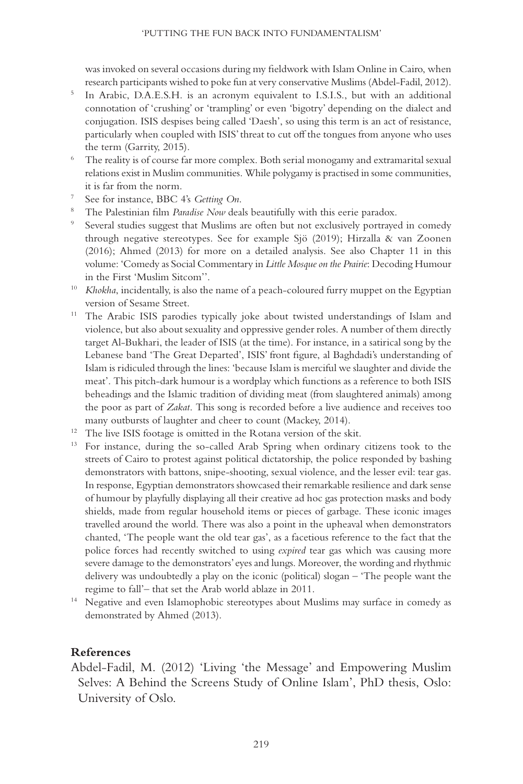was invoked on several occasions during my fieldwork with Islam Online in Cairo, when

- research participants wished to poke fun at very conservative Muslims (Abdel- Fadil, 2012). 5 In Arabic, D.A.E.S.H. is an acronym equivalent to I.S.I.S., but with an additional connotation of 'crushing' or 'trampling' or even 'bigotry' depending on the dialect and conjugation. ISIS despises being called 'Daesh', so using this term is an act of resistance, particularly when coupled with ISIS' threat to cut off the tongues from anyone who uses
- the term (Garrity, 2015). 6 The reality is of course far more complex. Both serial monogamy and extramarital sexual relations exist in Muslim communities. While polygamy is practised in some communities,
- 
- 
- it is far from the norm.<br>
7 See for instance, BBC 4's Getting On.<br>
8 The Palestinian film *Paradise Now* deals beautifully with this eerie paradox.<br>
9 Several studies suggest that Muslims are often but not exclusively port through negative stereotypes. See for example Sjö (2019); Hirzalla & van Zoonen (2016); Ahmed (2013) for more on a detailed analysis. See also Chapter 11 in this volume: 'Comedy as Social Commentary in *Little Mosque on the Prairie*: Decoding Humour
- in the First 'Muslim Sitcom''.<br><sup>10</sup> *Khokha*, incidentally, is also the name of a peach-coloured furry muppet on the Egyptian
- version of Sesame Street.<br><sup>11</sup> The Arabic ISIS parodies typically joke about twisted understandings of Islam and violence, but also about sexuality and oppressive gender roles. A number of them directly target Al- Bukhari, the leader of ISIS (at the time). For instance, in a satirical song by the Lebanese band 'The Great Departed', ISIS' front figure, al Baghdadi's understanding of Islam is ridiculed through the lines: 'because Islam is merciful we slaughter and divide the meat'. This pitch- dark humour is a wordplay which functions as a reference to both ISIS beheadings and the Islamic tradition of dividing meat (from slaughtered animals) among the poor as part of *Zakat*. This song is recorded before a live audience and receives too
- 
- many outbursts of laughter and cheer to count (Mackey, 2014).<br><sup>12</sup> The live ISIS footage is omitted in the Rotana version of the skit.<br><sup>13</sup> For instance, during the so-called Arab Spring when ordinary citizens took to the streets of Cairo to protest against political dictatorship, the police responded by bashing demonstrators with battons, snipe-shooting, sexual violence, and the lesser evil: tear gas. In response, Egyptian demonstrators showcased their remarkable resilience and dark sense of humour by playfully displaying all their creative ad hoc gas protection masks and body shields, made from regular household items or pieces of garbage. These iconic images travelled around the world. There was also a point in the upheaval when demonstrators chanted, 'The people want the old tear gas', as a facetious reference to the fact that the police forces had recently switched to using *expired* tear gas which was causing more severe damage to the demonstrators' eyes and lungs. Moreover, the wording and rhythmic delivery was undoubtedly a play on the iconic (political) slogan –'The people want the
- regime to fall'–that set the Arab world ablaze in 2011.<br><sup>14</sup> Negative and even Islamophobic stereotypes about Muslims may surface in comedy as demonstrated by Ahmed (2013).

#### **References**

Abdel- Fadil, M. (2012) 'Living 'the Message' and Empowering Muslim Selves: A Behind the Screens Study of Online Islam', PhD thesis, Oslo: University of Oslo.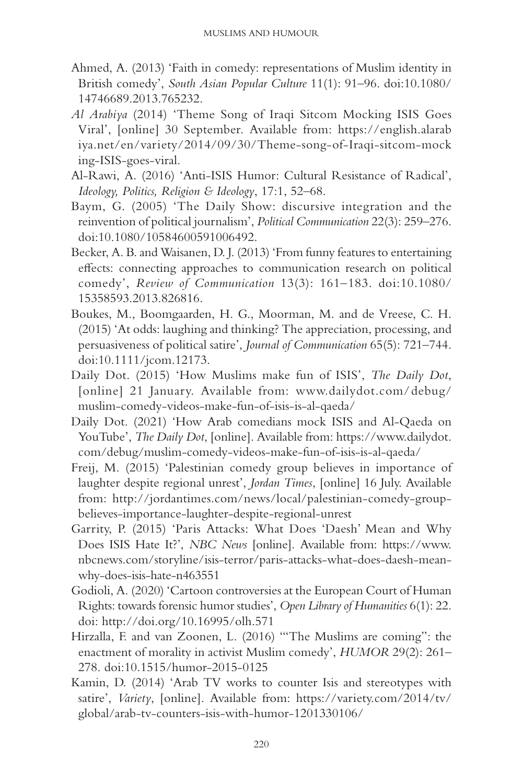- Ahmed, A. (2013) 'Faith in comedy: representations of Muslim identity in British comedy', *South Asian Popular Culture* 11(1): 91-96. doi:10.1080/ 14746689.2013.765232.
- Al Arabiya (2014) 'Theme Song of Iraqi Sitcom Mocking ISIS Goes Viral', [online] 30 September. Available from: https://english.alarab iya.net/en/variety/2014/09/30/Theme-song-of-Iraqi-sitcom-mock ing-ISIS-goes-viral.
- Al- Rawi, A. (2016) 'Anti- ISIS Humor: Cultural Resistance of Radical', *Ideology, Politics, Religion & Ideology, 17:1, 52–68.*
- Baym, G. (2005) 'The Daily Show: discursive integration and the reinvention of political journalism', *Political Communication* 22(3): 259–276. doi: 10.1080/ 10584600591006492.
- Becker, A. B. and Waisanen, D. J. ( 2013 ) 'From funny features to entertaining effects: connecting approaches to communication research on political comedy', *Review of Communication* 13(3): 161-183. doi:10.1080/ 15358593.2013.826816.
- Boukes, M., Boomgaarden, H. G., Moorman, M. and de Vreese, C. H. (2015) 'At odds: laughing and thinking? The appreciation, processing, and persuasiveness of political satire', *Journal of Communication* 65(5): 721–744. doi: 10.1111/jcom. 12173.
- Daily Dot. (2015) 'How Muslims make fun of ISIS', *The Daily Dot*, [online] 21 January. Available from: www.dailydot.com/debug/ muslim- comedy- videos- make- fun- of- isis- is- al- qaeda/
- Daily Dot. (2021) 'How Arab comedians mock ISIS and Al-Qaeda on YouTube', *The Daily Dot*, [online]. Available from: https:// www.dailydot. com/ debug/ muslim- comedy- videos- make- fun- of- isis- is- al- qaeda/
- Freij, M. (2015) 'Palestinian comedy group believes in importance of laughter despite regional unrest', *Jordan Times*, [online] 16 July. Available from: http:// jordantimes.com/ news/ local/ palestinian- comedy- groupbelieves- importance- laughter- despite- regional- unrest
- Garrity, P. (2015) 'Paris Attacks: What Does 'Daesh' Mean and Why Does ISIS Hate It?', *NBC News* [online]. Available from: https:// www. nbcnews.com/ storyline/ isis- terror/ paris- attacks- what- does- daesh- meanwhy-does-isis-hate-n463551
- Godioli, A. (2020) 'Cartoon controversies at the European Court of Human Rights: towards forensic humor studies', *Open Library of Humanities* 6(1): 22. doi: http://doi.org/10.16995/olh.571
- Hirzalla, F. and van Zoonen, L. (2016) " The Muslims are coming": the enactment of morality in activist Muslim comedy', *HUMOR* 29(2): 261-278. doi:10.1515/humor-2015-0125
- Kamin, D. (2014) 'Arab TV works to counter Isis and stereotypes with satire', *Variety*, [online]. Available from: https://variety.com/2014/tv/ global/ arab- tv- counters- isis- with- humor- 1201330106/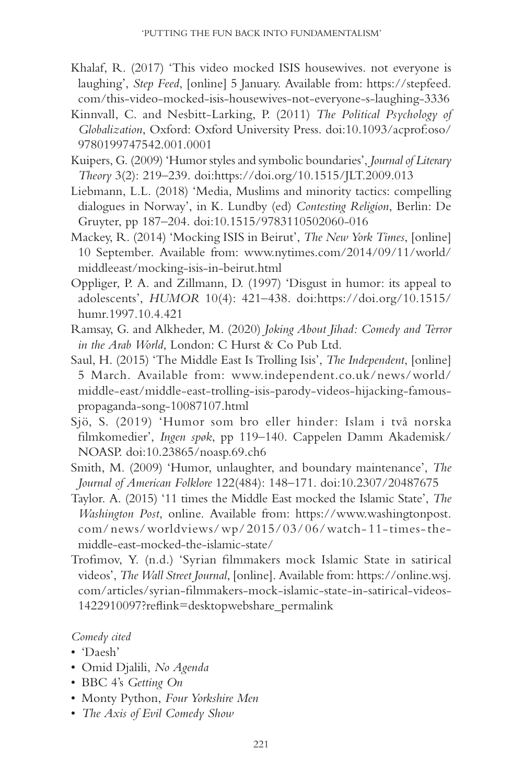- Khalaf, R. (2017) 'This video mocked ISIS housewives. not everyone is laughing', *Step Feed*, [online] 5 January. Available from: https://stepfeed. com/this-video-mocked-isis-housewives-not-everyone-s-laughing-3336
- Kinnvall, C. and Nesbitt-Larking, P. (2011) *The Political Psychology of Globalization*, Oxford: Oxford University Press . doi: 10.1093/ acprof:oso/ 9780199747542.001.0001
- Kuipers ,G . ( 2009 ) 'Humor styles and symbolic boundaries', *Journal of Literary Theory* 3(2): 219–239. doi:https://doi.org/10.1515/JLT.2009.013
- Liebmann, L.L. (2018) 'Media, Muslims and minority tactics: compelling dialogues in Norway', in K. Lundby (ed) *Contesting Religion*, Berlin: De Gruyter, pp 187–204. doi:10.1515/9783110502060-016
- Mackey, R. (2014) 'Mocking ISIS in Beirut', *The New York Times*, [online] 10 September. Available from: www.nytimes.com/2014/09/11/world/ middleeast/mocking-isis-in-beirut.html
- Oppliger, P. A. and Zillmann, D. (1997) 'Disgust in humor: its appeal to adolescents', *HUMOR* 10(4): 421-438. doi:https://doi.org/10.1515/ humr.1997.10.4.421
- Ramsay, G. and Alkheder, M. (2020) *Joking About Jihad: Comedy and Terror* in the Arab World, London: C Hurst & Co Pub Ltd.
- Saul, H. (2015) 'The Middle East Is Trolling Isis', *The Independent*, [online] 5March. Available from: www.independent.co.uk/ news/ world/ middle- east/ middle- east- trolling- isis- parody- videos- hijacking- famouspropaganda- song- 10087107.html
- Sjö, S. (2019) 'Humor som bro eller hinder: Islam i två norska filmkomedier', *Ingen spøk*, pp 119–140. Cappelen Damm Akademisk/ NOASP. doi: 10.23865/ noasp.69.ch6
- Smith, M. (2009) 'Humor, unlaughter, and boundary maintenance', *The Journal of American Folklore* 122(484): 148–171. doi:10.2307/20487675
- Taylor. A. (2015) '11 times the Middle East mocked the Islamic State', *The Washington Post*, online. Available from: https://www.washingtonpost. com/ news/ worldviews/ wp/ 2015/ 03/ 06/ watch- 11- times- themiddle-east-mocked-the-islamic-state/
- Trofimov, Y. (n.d.) 'Syrian filmmakers mock Islamic State in satirical videos ', *The Wall Street Journal*, [online]. Available from: https:// online.wsj. com/articles/syrian-filmmakers-mock-islamic-state-in-satirical-videos-1422910097?reflink=desktopwebshare\_permalink

#### *Comedy cited*

- 'Daesh'
- Omid Djalili, *No Agenda*
- BBC 4's *Getting On*
- Monty Python, *Four Yorkshire Men*
- *The Axis of Evil Comedy Show*